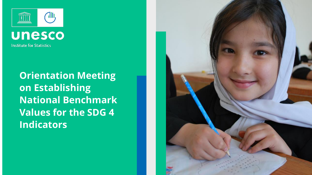



**Orientation Meeting on Establishing National Benchmark Values for the SDG 4 Indicators**

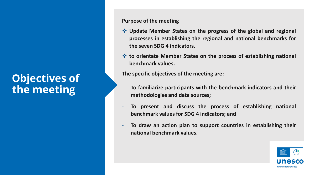## **Objectives of the meeting**

**Purpose of the meeting**

- ❖ **Update Member States on the progress of the global and regional processes in establishing the regional and national benchmarks for the seven SDG 4 indicators.**
- ❖ **to orientate Member States on the process of establishing national benchmark values.**

**The specific objectives of the meeting are:**

- **To familiarize participants with the benchmark indicators and their methodologies and data sources;**
- **To present and discuss the process of establishing national benchmark values for SDG 4 indicators; and**
- **To draw an action plan to support countries in establishing their national benchmark values.**

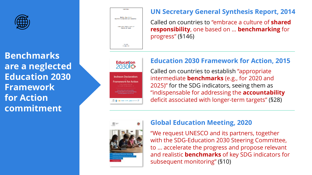

**Benchmarks are a neglected Education 2030 Framework for Action commitment**



### **UN Secretary General Synthesis Report, 2014**

Called on countries to "embrace a culture of **shared responsibility**, one based on … **benchmarking** for progress" ( §146)

**Education** 2030**13 Incheon Declaration Framework for Action** to the implementation of re ackaration and nonmote the 

## **Education 2030 Framework for Action, 2015**

Called on countries to establish "appropriate intermediate **benchmarks** (e.g., for 2020 and 2025)" for the SDG indicators, seeing them as "indispensable for addressing the **accountability** deficit associated with longer -term targets" ( §28)



### **Global Education Meeting, 2020**

"We request UNESCO and its partners, together with the SDG -Education 2030 Steering Committee, to … accelerate the progress and propose relevant and realistic **benchmarks** of key SDG indicators for subsequent monitoring" ( §10)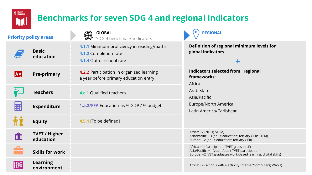

**AÚ** 

## **Benchmarks for seven SDG 4 and regional indicators**

#### **Priority policy areas**

**Basic** 

**education**

**Pre-primary**

| <b>SLOBAL</b><br>SDG 4 benchmark indicators |  |
|---------------------------------------------|--|
|                                             |  |

**4.1.1** Minimum proficiency in reading/maths **4.1.2** Completion rate **4.1.4** Out-of-school rate

**4.2.2** Participation in organized learning a year before primary education entry

**Teachers 4.c.1** Qualified teachers **1.a.2/FFA** Education as % GDP / % budget **Bill Expenditure 4.5.1** [To be defined] **Equity** 

**TVET / Higher**  ШЩ **education**

**Skills for work**



**Learning environment**

**Definition of regional minimum levels for global indicators + Indicators selected from regional frameworks:**  Africa Arab States Asia/Pacific Europe/North America Latin America/Caribbean **REGIONAL** Africa: +2 (NEET; STEM) Asia/Pacific: +3 (adult education; tertiary GER; STEM) Europe: +2 (adult education; tertiary GER) Africa: +1 (Participation TVET grads in LF) Asia/Pacific: +1 (youth/adult TVET participation) Europe: +2 (VET graduates work-based learning; digital skills)

Africa: +2 (schools with electricity/Internet/computers; WASH)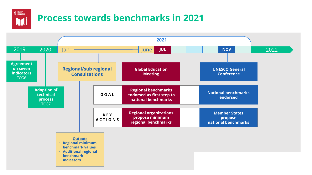

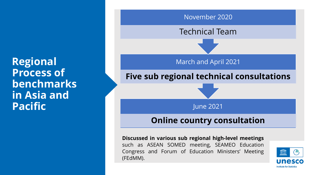**Regional Process of benchmarks in Asia and** 



**Discussed in various sub regional high-level meetings** such as ASEAN SOMED meeting, SEAMEO Education Congress and Forum of Education Ministers' Meeting (FEdMM).

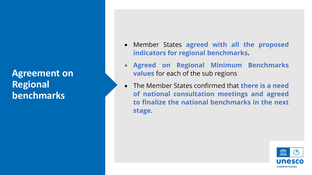**Agreement on Regional benchmarks** 

- Member States **agreed with all the proposed indicators for regional benchmarks.**
- **Agreed on Regional Minimum Benchmarks values** for each of the sub regions
- The Member States confirmed that **there is a need of national consultation meetings and agreed to finalize the national benchmarks in the next stage**.

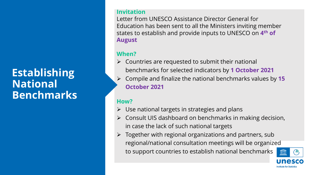## **Establishing National Benchmarks**

#### **Invitation**

Letter from UNESCO Assistance Director General for Education has been sent to all the Ministers inviting member states to establish and provide inputs to UNESCO on **4 th of August**

#### **When?**

- $\triangleright$  Countries are requested to submit their national benchmarks for selected indicators by **1 October 2021**
- ➢ Compile and finalize the national benchmarks values by **15 October 2021**

### **How?**

- $\triangleright$  Use national targets in strategies and plans
- ➢ Consult UIS dashboard on benchmarks in making decision, in case the lack of such national targets
- ➢ Together with regional organizations and partners, sub regional/national consultation meetings will be organized to support countries to establish national benchmarks

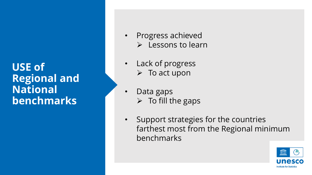**USE of Regional and National benchmarks**

- Progress achieved
	- ➢ Lessons to learn
- Lack of progress  $\triangleright$  To act upon
- Data gaps  $\triangleright$  To fill the gaps
- Support strategies for the countries farthest most from the Regional minimum benchmarks

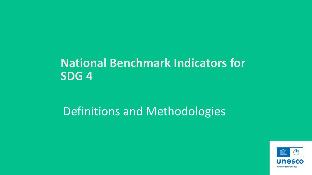## **National Benchmark Indicators for SDG 4**

## Definitions and Methodologies

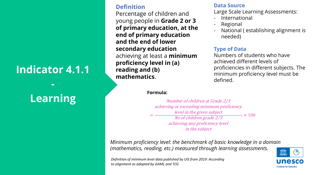## **Indicator 4.1.1**

**-**

# **Learning**

#### **Definition**

Percentage of children and young people in **Grade 2 or 3 of primary education, at the end of primary education and the end of lower secondary education**  achieving at least a **minimum proficiency level in (a) reading and (b) mathematics**.

#### **Data Source**

Large Scale Learning Assessments:

- International
- **Regional**
- National ( establishing alignment is needed)

#### **Type of Data**

Numbers of students who have achieved different levels of proficiencies in different subjects. The minimum proficiency level must be defined.

#### **Formula:**

= Number of children at Grade 2/3 achieving or exceeding minimum proficiency level in the given subject No of children grade 2/3 achieving any proficiency level in the subject  $\rightarrow$   $\times$  100

*Minimum proficiency level: the benchmark of basic knowledge in a domain (mathematics, reading, etc.) measured through learning assessments.* 

*Definition of minimum level data published by UIS from 2019: According to alignment as adopted by GAML and TCG*

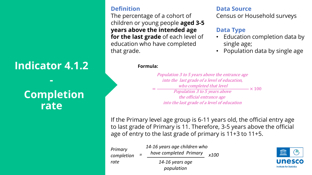## **Indicator 4.1.2**

**-**

## **Completion rate**

#### **Definition**

The percentage of a cohort of children or young people **aged 3-5 years above the intended age for the last grade** of each level of education who have completed that grade.

#### **Data Source**

Census or Household surveys

#### **Data Type**

- Education completion data by single age;
- Population data by single age

#### **Formula:**

= Population 3 to 5 years above the entrance age into the last grade of <sup>a</sup> level of education, who completed that level Population 3 to 5 years above the official entrance age into the last grade of <sup>a</sup> level of education  $-\times 100$ 

If the Primary level age group is 6-11 years old, the official entry age to last grade of Primary is 11. Therefore, 3-5 years above the official age of entry to the last grade of primary is 11+3 to 11+5.

*Primary completion rate* 

*have completed Primary = x100 14-16 years age population*

*14-16 years age children who* 

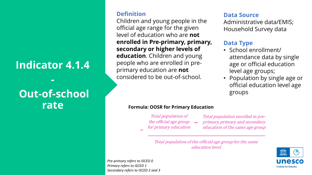## **Indicator 4.1.4**

**-**

## **Out-of-school rate**

#### **Definition**

Children and young people in the official age range for the given level of education who are **not enrolled in Pre-primary, primary, secondary or higher levels of education**. Children and young people who are enrolled in preprimary education are **not** considered to be out-of-school.

#### **Data Source**

Administrative data/EMIS; Household Survey data

#### **Data Type**

- School enrollment/ attendance data by single age or official education level age groups;
- Population by single age or official education level age groups

#### **Formula: OOSR for Primary Education**

Total population of the official age group  $\quad$ 

for primary education

Total population enrolled in preprimary, primary and secondary education of the same age group

Total population of the official age group for the same education level

*Pre-primary refers to ISCED 0 Primary refers to ISCED 1 Secondary refers to ISCED 2 and 3*

=

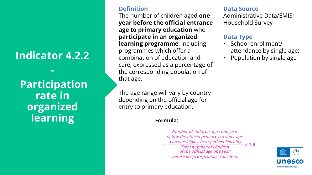## **Indicator 4.2.2**

**-**

**Participation rate in organized learning**

#### **Definition**

The number of children aged **one year before the official entrance age to primary education** who **participate in an organized learning programme**, including programmes which offer a combination of education and care, expressed as a percentage of the corresponding population of that age.

The age range will vary by country depending on the official age for entry to primary education.

#### **Formula:**

 $=\frac{who\ particle\ in\ organized\ learning}{Total\ number\ of\ children} \times 100$ Number of children aged one year below the official primary entrance age Total number of children of the official age one year before for pre−primary education

#### **Data Source**

Administrative Data/EMIS; Household Survey

#### **Data Type**

- School enrollment/ attendance by single age;
- Population by single age

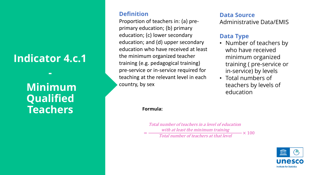## **Indicator 4.c.1**

**-**

## **Minimum Qualified Teachers**

#### **Definition**

Proportion of teachers in: (a) preprimary education; (b) primary education; (c) lower secondary education; and (d) upper secondary education who have received at least the minimum organized teacher training (e.g. pedagogical training) pre-service or in-service required for teaching at the relevant level in each country, by sex

#### **Data Source**

Administrative Data/EMIS

#### **Data Type**

- Number of teachers by who have received minimum organized training ( pre-service or in-service) by levels
- Total numbers of teachers by levels of education

#### **Formula:**

=

Total number of teachers in <sup>a</sup> level of education with at least the minimum training Total number of teachers at that level  $-\times 100$ 

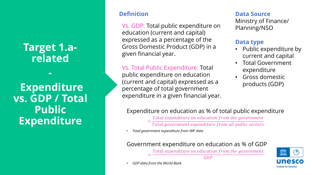## **Target 1.arelated**

**-**

**Expenditure vs. GDP / Total Public Expenditure**

#### **Definition**

Vs. GDP: Total public expenditure on education (current and capital) expressed as a percentage of the Gross Domestic Product (GDP) in a given financial year.

Vs. Total Public Expenditure: Total public expenditure on education (current and capital) expressed as a percentage of total government expenditure in a given financial year. **Data Source**

Ministry of Finance/ Planning/NSO

#### **Data type**

- Public expenditure by current and capital
- Total Government expenditure
- Gross domestic products (GDP)

### Expenditure on education as % of total public expenditure

Total expenditure on education from the government

Total government expenditure from all public sectors

• *Total government expenditure from IMF data*

#### Government expenditure on education as % of GDP

Total expenditure on education from the government  $GDP$ 



• *GDP data from the World Bank*

=

=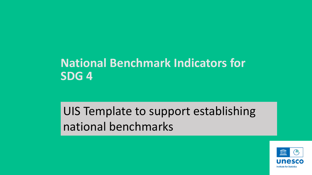## **National Benchmark Indicators for SDG 4**

## UIS Template to support establishing national benchmarks

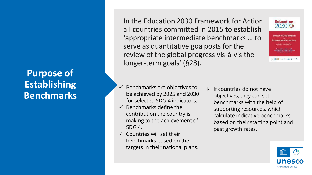## **Purpose of Establishing Benchmarks**

In the Education 2030 Framework for Action all countries committed in 2015 to establish 'appropriate intermediate benchmarks … to serve as quantitative goalposts for the review of the global progress vis-à-vis the longer-term goals' (§28).



二日 HS . m + + + ad + - - M

 $\checkmark$  Benchmarks are objectives to be achieved by 2025 and 2030 for selected SDG 4 indicators.

- $\checkmark$  Benchmarks define the contribution the country is making to the achievement of SDG 4.
- $\checkmark$  Countries will set their benchmarks based on the targets in their national plans.
- $\triangleright$  If countries do not have objectives, they can set benchmarks with the help of supporting resources, which calculate indicative benchmarks based on their starting point and past growth rates.

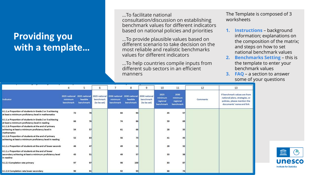## **Providing you with a template…**

…To facilitate national consultation/discussion on establishing benchmark values for different indicators based on national policies and priorities

…To provide plausible values based on different scenario to take decision on the most reliable and realistic benchmarks values for different indicators

…To help countries compile inputs from different sub sectors in an efficient manners

The Template is composed of 3 worksheets

- **1. Instructions** background information; explanations on the composition of the matrix; and steps on how to set national benchmark values
- **2. Benchmarks Setting**  this is the template to enter your benchmark values
- **3. FAQ** a section to answer some of your questions

|                                                                                                                              |                                                      | 5                     | 6                        | $\overline{ }$                                                    | 8                     |                                           | 10                                       | 11                                       | 12       | 13                                                                                                                         |
|------------------------------------------------------------------------------------------------------------------------------|------------------------------------------------------|-----------------------|--------------------------|-------------------------------------------------------------------|-----------------------|-------------------------------------------|------------------------------------------|------------------------------------------|----------|----------------------------------------------------------------------------------------------------------------------------|
| Indicator                                                                                                                    | 2025 national 2025 national<br>minimum.<br>benchmark | feasible<br>benchmark | benchmark<br>(to be set) | 2025 national 2030 national 2030 national<br>minimum<br>benchmark | feasible<br>benchmark | 2030 national<br>benchmark<br>(to be set) | 2025<br>minimum<br>regional<br>benchmark | 2030<br>minimum<br>regional<br>benchmark | Comments | If benchmark values are from<br>national plans, strategies, or<br>policies, please mention the<br>documents' name and link |
| 4.1.1.a Proportion of students in Grade 2 or 3 achieving<br>at least a minimum proficiency level in mathematics              | 72                                                   | 78                    |                          | 84                                                                | 94                    |                                           | 45                                       | 57                                       |          |                                                                                                                            |
| 4.1.1.a Proportion of students in Grade 2 or 3 achieving<br>at least a minimum proficiency level in reading                  | 66                                                   | 76                    |                          | 74                                                                | 86                    |                                           | 59                                       | 69                                       |          |                                                                                                                            |
| 4.1.1.b Proportion of students at the end of primary<br>achieving at least a minimum proficiency level in<br>mathematics     | 54                                                   | 57                    |                          | 61                                                                | 66                    |                                           | 28                                       | 35                                       |          |                                                                                                                            |
| 4.1.1.b Proportion of students at the end of primary<br>achieving at least a minimum proficiency level in reading            | 52                                                   | 63                    |                          | 56                                                                | 73                    |                                           | 41                                       | 45                                       |          |                                                                                                                            |
| 4.1.1.c Proportion of students at the end of lower seconds                                                                   | 46                                                   | 47                    |                          | 49                                                                | 52                    |                                           | 28                                       | 32                                       |          |                                                                                                                            |
| 4.1.1.c Proportion of students at the end of lower<br>secondary achieving at least a minimum proficiency level<br>in reading | 45                                                   | 51                    |                          | 49                                                                | 57                    |                                           | 33                                       | 38                                       |          |                                                                                                                            |
| 4.1.2.i Completion rate primary                                                                                              | 97                                                   | 97                    |                          | 98                                                                | 100                   |                                           | 83                                       | 87                                       |          |                                                                                                                            |
| 4.1.2.ii Completion rate lower secondary                                                                                     | 90                                                   | 91                    |                          | 92                                                                | 93                    |                                           | 68                                       | 74                                       |          |                                                                                                                            |

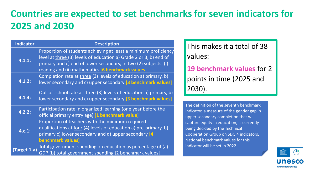## **Countries are expected to set benchmarks for seven indicators for 2025 and 2030**

| <b>Indicator</b> | <b>Description</b>                                                                                                                                                                                                                                           |
|------------------|--------------------------------------------------------------------------------------------------------------------------------------------------------------------------------------------------------------------------------------------------------------|
| 4.1.1:           | Proportion of students achieving at least a minimum proficiency<br>level at three (3) levels of education a) Grade 2 or 3, b) end of<br>primary and c) end of lower secondary, in two (2) subjects: (i)<br>reading and (ii) mathematics [6 benchmark values] |
| 4.1.2:           | Completion rate at three (3) levels of education a) primary, b)<br>lower secondary and c) upper secondary [3 benchmark values]                                                                                                                               |
| 4.1.4:           | Out-of-school rate at three (3) levels of education a) primary, b)<br>lower secondary and c) upper secondary [3 benchmark values]                                                                                                                            |
| 4.2.2:           | Participation rate in organized learning (one year before the<br>official primary entry age) [1 benchmark value]                                                                                                                                             |
| 4.c.1:           | Proportion of teachers with the minimum required<br>qualifications at <u>four</u> (4) levels of education a) pre-primary, b)<br>primary c) lower secondary and d) upper secondary [4]<br>benchmark values]                                                   |
| (Target 1.a)     | Total government spending on education as percentage of (a)<br>GDP (b) total government spending [2 benchmark values]                                                                                                                                        |

This makes it a total of 38 values:

**19 benchmark values** for 2 points in time (2025 and 2030).

The definition of the seventh benchmark indicator, a measure of the gender gap in upper secondary completion that will capture equity in education, is currently being decided by the Technical Cooperation Group on SDG 4 indicators. National benchmark values for this indicator will be set in 2022.

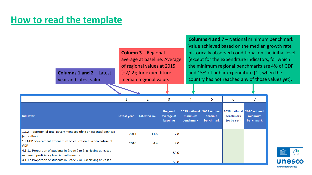## **How to read the template**

| <b>Columns 1 and 2 - Latest</b><br>year and latest value                                                        |             | <b>Column 3 - Regional</b><br>average at baseline: Average<br>of regional values at 2015<br>$(+2/-2)$ ; for expenditure<br>median regional value. |                                    |                      | <b>Columns 4 and 7 - National minimum benchmark:</b><br>Value achieved based on the median growth rate<br>historically observed conditional on the initial level<br>(except for the expenditure indicators, for which<br>the minimum regional benchmarks are 4% of GDP<br>and 15% of public expenditure [1], when the<br>country has not reached any of those values yet). |                                           |                                       |                                           |  |  |
|-----------------------------------------------------------------------------------------------------------------|-------------|---------------------------------------------------------------------------------------------------------------------------------------------------|------------------------------------|----------------------|----------------------------------------------------------------------------------------------------------------------------------------------------------------------------------------------------------------------------------------------------------------------------------------------------------------------------------------------------------------------------|-------------------------------------------|---------------------------------------|-------------------------------------------|--|--|
|                                                                                                                 |             | 2                                                                                                                                                 | 3                                  |                      | 5                                                                                                                                                                                                                                                                                                                                                                          | 6                                         | 7                                     |                                           |  |  |
| Indicator                                                                                                       | Latest year | Latest value                                                                                                                                      | Regional<br>average at<br>baseline | minimum<br>benchmark | 2025 national 2025 national<br>feasible<br>benchmark                                                                                                                                                                                                                                                                                                                       | 2025 national<br>benchmark<br>(to be set) | 2030 national<br>minimum<br>benchmark |                                           |  |  |
| 1.a.2 Proportion of total government spending on essential services<br>(education)                              | 2014        | 11.6                                                                                                                                              | 12.8                               |                      |                                                                                                                                                                                                                                                                                                                                                                            |                                           |                                       |                                           |  |  |
| 1.a.GDP Government expenditure on education as a percentage of<br>GDP                                           | 2016        | 4.4                                                                                                                                               | 4.0                                |                      |                                                                                                                                                                                                                                                                                                                                                                            |                                           |                                       |                                           |  |  |
| 4.1.1.a Proportion of students in Grade 2 or 3 achieving at least a<br>minimum proficiency level in mathematics |             |                                                                                                                                                   | 83.0                               |                      |                                                                                                                                                                                                                                                                                                                                                                            |                                           |                                       | <b>THTT</b><br>(⊣IIII,                    |  |  |
| 4.1.1.a Proportion of students in Grade 2 or 3 achieving at least a                                             |             |                                                                                                                                                   | 53.0                               |                      |                                                                                                                                                                                                                                                                                                                                                                            |                                           |                                       | unesco<br><b>Institute for Statistics</b> |  |  |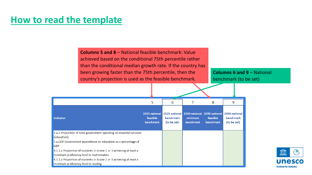## **How to read the template**

**Columns 5 and 8** – National feasible benchmark: Value achieved based on the conditional 75th percentile rather than the conditional median growth rate. If the country has been growing faster than the 75th percentile, then the country's projection is used as the feasible benchmark.

**Columns 6 and 9 – National** benchmark (to be set)

|                                                                                                                                                                                                                                                                                                                                                                                                      | 5                                      | 6                        |                      | 8                                                                  | 9                                                |
|------------------------------------------------------------------------------------------------------------------------------------------------------------------------------------------------------------------------------------------------------------------------------------------------------------------------------------------------------------------------------------------------------|----------------------------------------|--------------------------|----------------------|--------------------------------------------------------------------|--------------------------------------------------|
| <b>Indicator</b>                                                                                                                                                                                                                                                                                                                                                                                     | 2025 national<br>feasible<br>benchmark | benchmark<br>(to be set) | minimum<br>benchmark | 2025 national 2030 national 2030 national<br>feasible<br>benchmark | 2030 national<br><b>benchmark</b><br>(to be set) |
| 1.a.2 Proportion of total government spending on essential services<br>(education)<br>1.a.GDP Government expenditure on education as a percentage of<br><b>GDP</b><br>4.1.1.a Proportion of students in Grade 2 or 3 achieving at least a<br>minimum proficiency level in mathematics<br>4.1.1.a Proportion of students in Grade 2 or 3 achieving at least a<br>minimum proficiency level in reading |                                        |                          |                      |                                                                    |                                                  |

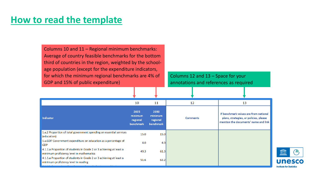## **How to read the template**

Columns 10 and 11 – Regional minimum benchmarks: Average of country feasible benchmarks for the bottom third of countries in the region, weighted by the schoolage population (except for the expenditure indicators, for which the minimum regional benchmarks are 4% of GDP and 15% of public expenditure)

Columns 12 and 13 – Space for your annotations and references as required

|                                                                                                                 | 10                                       | 11                                       | 12              | 13                                                                                                                      |
|-----------------------------------------------------------------------------------------------------------------|------------------------------------------|------------------------------------------|-----------------|-------------------------------------------------------------------------------------------------------------------------|
| Indicator                                                                                                       | 2025<br>minimum<br>regional<br>benchmark | 2030<br>minimum<br>regional<br>benchmark | <b>Comments</b> | If benchmark values are from national<br>plans, strategies, or policies, please<br>mention the documents' name and link |
| 1.a.2 Proportion of total government spending on essential services<br>(education)                              | 15.0                                     | 15.0                                     |                 |                                                                                                                         |
| 1.a.GDP Government expenditure on education as a percentage of<br><b>GDP</b>                                    | 4.0                                      | 4.0                                      |                 |                                                                                                                         |
| 4.1.1.a Proportion of students in Grade 2 or 3 achieving at least a<br>minimum proficiency level in mathematics | 49.3                                     | 61.3                                     |                 |                                                                                                                         |
| 4.1.1.a Proportion of students in Grade 2 or 3 achieving at least a<br>minimum proficiency level in reading     | 51.6                                     | 63.2                                     |                 |                                                                                                                         |

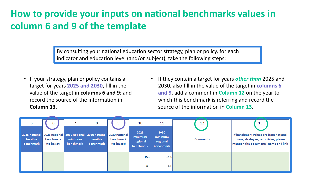## **How to provide your inputs on national benchmarks values in column 6 and 9 of the template**

By consulting your national education sector strategy, plan or policy, for each indicator and education level (and/or subject), take the following steps:

- If your strategy, plan or policy contains a target for years **2025 and 2030**, fill in the value of the target in **columns 6 and 9**; and record the source of the information in **Column 13**.
- If they contain a target for years *other than* 2025 and 2030, also fill in the value of the target in **columns 6 and 9**, add a comment in **Column 12** on the year to which this benchmark is referring and record the source of the information in **Column 13**.

|                                        | b                        |                                                                                 | 8                     | 9                        | 10                                       | 11                                       | 12              | 13                                                                                                                      |
|----------------------------------------|--------------------------|---------------------------------------------------------------------------------|-----------------------|--------------------------|------------------------------------------|------------------------------------------|-----------------|-------------------------------------------------------------------------------------------------------------------------|
| 2025 national<br>feasible<br>benchmark | benchmark<br>(to be set) | 2025 national 2030 national 2030 national 2030 national<br>minimum<br>benchmark | feasible<br>benchmark | benchmark<br>(to be set) | 2025<br>minimum<br>regional<br>benchmark | 2030<br>minimum<br>regional<br>benchmark | <b>Comments</b> | If benchmark values are from national<br>plans, strategies, or policies, please<br>mention the documents' name and link |
|                                        |                          |                                                                                 |                       |                          | 15.0<br>4.0                              | 15.0<br>4.0                              |                 |                                                                                                                         |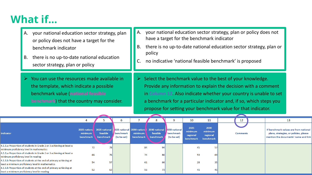## **What if…**

- A. your national education sector strategy, plan or policy does not have a target for the benchmark indicator
- B. there is no up-to-date national education sector strategy, plan or policy
- $\triangleright$  You can use the resources made available in the template, which indicate a possible benchmark value (**national feasible benchmark**) that the country may consider.
- A. your national education sector strategy, plan or policy does not have a target for the benchmark indicator
- B. there is no up-to-date national education sector strategy, plan or policy
- C. no indicative 'national feasible benchmark' is proposed
- $\triangleright$  Select the benchmark value to the best of your knowledge. Provide any information to explain the decision with a comment in **Column 12**. Also indicate whether your country is unable to set a benchmark for a particular indicator and, if so, which steps you propose for setting your benchmark value for that indicator.

|                                                                                                                       |                                       |                                        |           | O                               |                      |                       |                                                                                            | 10                                       | 11                                       | 12              | 13                                                                                                                      |
|-----------------------------------------------------------------------------------------------------------------------|---------------------------------------|----------------------------------------|-----------|---------------------------------|----------------------|-----------------------|--------------------------------------------------------------------------------------------|------------------------------------------|------------------------------------------|-----------------|-------------------------------------------------------------------------------------------------------------------------|
| Indicator                                                                                                             | 2025 national<br>minimum<br>benchmark | 2025 national<br>feasible<br>benchmark |           | <b>benchmark</b><br>(to be set) | minimum<br>benchmark | feasible<br>benchmark | <b>1025 national 2030 national 2030 national 1030 national</b><br>benchmark<br>(to be set) | 2025<br>minimum<br>regional<br>benchmark | 2030<br>minimum<br>regional<br>benchmark | <b>Comments</b> | If benchmark values are from national<br>plans, strategies, or policies, please<br>mention the documents' name and link |
| 4.1.1.a Proportion of students in Grade 2 or 3 achieving at least a<br>minimum proficiency level in mathematics       | 72                                    |                                        | <b>78</b> |                                 | 84                   | 94                    |                                                                                            | 45                                       | 57                                       |                 |                                                                                                                         |
| 4.1.1.a Proportion of students in Grade 2 or 3 achieving at least a<br>minimum proficiency level in reading           | 66                                    |                                        | 76        |                                 | 74                   | 86                    |                                                                                            | 59                                       | 69                                       |                 |                                                                                                                         |
| 4.1.1.b Proportion of students at the end of primary achieving at<br>least a minimum proficiency level in mathematics | 54                                    |                                        | 57        |                                 | 61                   | 66                    |                                                                                            | 28                                       | 35                                       |                 |                                                                                                                         |
| 4.1.1.b Proportion of students at the end of primary achieving at<br>least a minimum proficiency level in reading     | 52                                    |                                        | 63        |                                 | 56                   | 73                    |                                                                                            | 41                                       | 45                                       |                 |                                                                                                                         |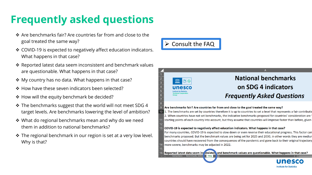## **Frequently asked questions**

- ❖ Are benchmarks fair? Are countries far from and close to the goal treated the same way?
- ❖ COVID-19 is expected to negatively affect education indicators. What happens in that case?
- ❖ Reported latest data seem inconsistent and benchmark values are questionable. What happens in that case?
- ❖ My country has no data. What happens in that case?
- ❖ How have these seven indicators been selected?
- ❖ How will the equity benchmark be decided?
- ❖ The benchmarks suggest that the world will not meet SDG 4 target levels. Are benchmarks lowering the level of ambition?
- ❖ What do regional benchmarks mean and why do we need them in addition to national benchmarks?
- ❖ The regional benchmark in our region is set at a very low level. Why is that?



 $13$ 



#### Are benchmarks fair? Are countries far from and close to the goal treated the same way?

10 1. The benchmarks are set by countries therefore it is up to countries to set a level that represents a fair contribution 2. When countries have not set benchmarks, the indicative benchmarks proposed for countries' consideration are starting points of each country into account, but they assume that countries will improve faster than before, given

#### COVID-19 is expected to negatively affect education indicators. What happens in that case?

For many countries, COVID-19 is expected to slow down or even reverse their educational progress. This factor can benchmarks proposed. But the benchmark values are being set for 2025 and 2030, in other words they are mediur countries should have recovered from the consequences of the pandemic and gone back to their original trajectory more severe, benchmarks may be adjusted in 2022.

16 Reported latest data seem in prisisten and benchmark values are questionable. What happens in that case? structions | Benchmarks\_Settir **FAQ**